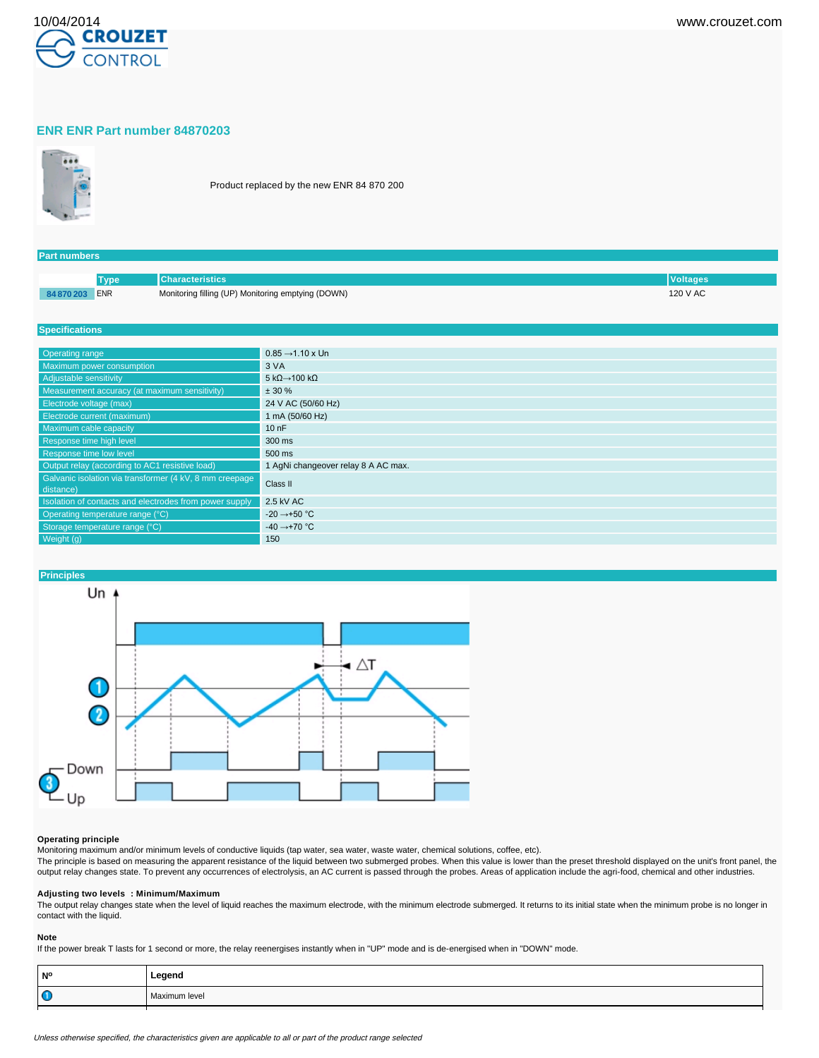

### **ENR ENR Part number 84870203**



Product replaced by the new ENR 84 870 200

| <b>Part numbers</b> |                                                    |                 |
|---------------------|----------------------------------------------------|-----------------|
|                     |                                                    |                 |
| <b>Tvpe</b>         | <b>Characteristics</b> '                           | <b>Voltages</b> |
| 84 870 203 ENR      | Monitoring filling (UP) Monitoring emptying (DOWN) | 120 V AC        |

#### **Specifications**

| Operating range                                                      | $0.85 \rightarrow 1.10 \times Un$         |
|----------------------------------------------------------------------|-------------------------------------------|
| Maximum power consumption                                            | 3 VA                                      |
| Adjustable sensitivity                                               | 5 k $\Omega$ $\rightarrow$ 100 k $\Omega$ |
| Measurement accuracy (at maximum sensitivity)                        | $± 30 \%$                                 |
| Electrode voltage (max)                                              | 24 V AC (50/60 Hz)                        |
| Electrode current (maximum)                                          | 1 mA (50/60 Hz)                           |
| Maximum cable capacity                                               | 10nF                                      |
| Response time high level                                             | 300 ms                                    |
| Response time low level                                              | 500 ms                                    |
| Output relay (according to AC1 resistive load)                       | 1 AgNi changeover relay 8 A AC max.       |
| Galvanic isolation via transformer (4 kV, 8 mm creepage<br>distance) | Class II                                  |
| Isolation of contacts and electrodes from power supply               | 2.5 kV AC                                 |
| Operating temperature range (°C)                                     | $-20 \rightarrow +50$ °C                  |
| Storage temperature range (°C)                                       | $-40 \rightarrow +70$ °C                  |
| Weight (g)                                                           | 150                                       |



## **Operating principle**

Monitoring maximum and/or minimum levels of conductive liquids (tap water, sea water, waste water, chemical solutions, coffee, etc).

The principle is based on measuring the apparent resistance of the liquid between two submerged probes. When this value is lower than the preset threshold displayed on the unit's front panel, the output relay changes state. To prevent any occurrences of electrolysis, an AC current is passed through the probes. Areas of application include the agri-food, chemical and other industries.

# **Adjusting two levels : Minimum/Maximum**

The output relay changes state when the level of liquid reaches the maximum electrode, with the minimum electrode submerged. It returns to its initial state when the minimum probe is no longer in contact with the liquid.

#### **Note**

If the power break T lasts for 1 second or more, the relay reenergises instantly when in "UP" mode and is de-energised when in "DOWN" mode.

| <b>N°</b> | Legend        |
|-----------|---------------|
| $\bullet$ | Maximum level |